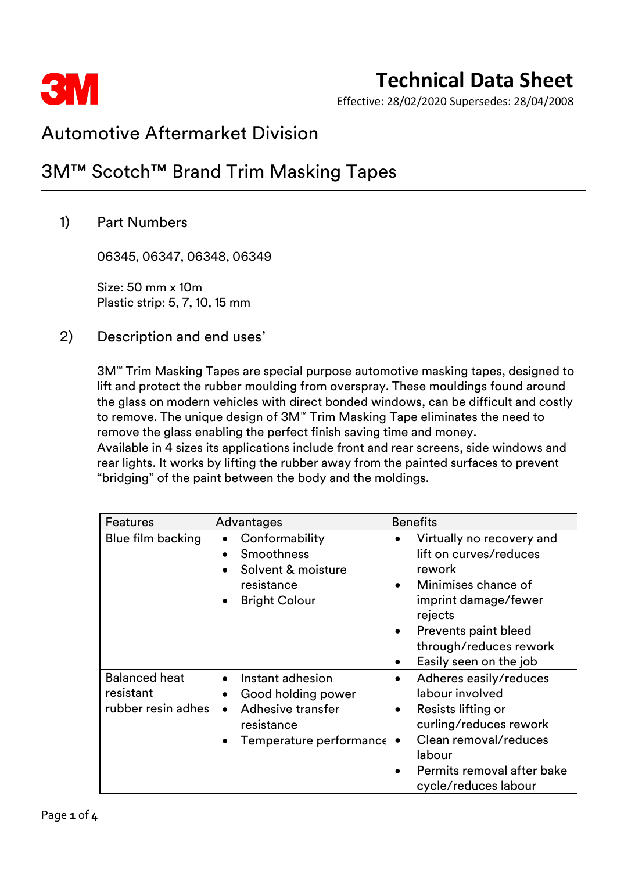

Effective: 28/02/2020 Supersedes: 28/04/2008

### Automotive Aftermarket Division

### 3M™ Scotch™ Brand Trim Masking Tapes

### 1) Part Numbers

06345, 06347, 06348, 06349

Size: 50 mm x 10m Plastic strip: 5, 7, 10, 15 mm

2) Description and end uses'

3M™ Trim Masking Tapes are special purpose automotive masking tapes, designed to lift and protect the rubber moulding from overspray. These mouldings found around the glass on modern vehicles with direct bonded windows, can be difficult and costly to remove. The unique design of 3M™ Trim Masking Tape eliminates the need to remove the glass enabling the perfect finish saving time and money. Available in 4 sizes its applications include front and rear screens, side windows and rear lights. It works by lifting the rubber away from the painted surfaces to prevent

"bridging" of the paint between the body and the moldings.

| <b>Features</b>                                         | Advantages                                                                                                                     | <b>Benefits</b>                                                                                                                                                                                                                         |  |
|---------------------------------------------------------|--------------------------------------------------------------------------------------------------------------------------------|-----------------------------------------------------------------------------------------------------------------------------------------------------------------------------------------------------------------------------------------|--|
| Blue film backing                                       | Conformability<br><b>Smoothness</b><br>Solvent & moisture<br>resistance<br><b>Bright Colour</b>                                | Virtually no recovery and<br>٠<br>lift on curves/reduces<br>rework<br>Minimises chance of<br>$\bullet$<br>imprint damage/fewer<br>rejects<br>Prevents paint bleed<br>$\bullet$<br>through/reduces rework<br>Easily seen on the job<br>٠ |  |
| <b>Balanced heat</b><br>resistant<br>rubber resin adhes | Instant adhesion<br>Good holding power<br>$\bullet$<br>Adhesive transfer<br>$\bullet$<br>resistance<br>Temperature performance | Adheres easily/reduces<br>$\bullet$<br>labour involved<br>Resists lifting or<br>$\bullet$<br>curling/reduces rework<br>Clean removal/reduces<br>$\bullet$<br>labour<br>Permits removal after bake<br>$\bullet$<br>cycle/reduces labour  |  |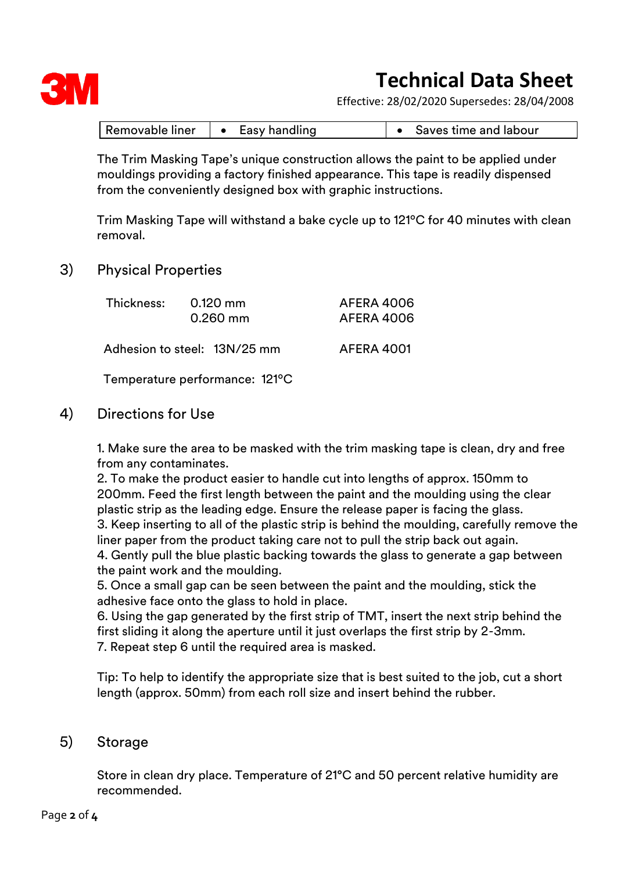

Effective: 28/02/2020 Supersedes: 28/04/2008

| Removable liner | Easy handling | Saves time and labour |
|-----------------|---------------|-----------------------|
|-----------------|---------------|-----------------------|

The Trim Masking Tape's unique construction allows the paint to be applied under mouldings providing a factory finished appearance. This tape is readily dispensed from the conveniently designed box with graphic instructions.

Trim Masking Tape will withstand a bake cycle up to 121ºC for 40 minutes with clean removal.

#### 3) Physical Properties

| Thickness: | 0.120 mm<br>$0.260$ mm       | AFERA 4006<br>AFERA 4006 |
|------------|------------------------------|--------------------------|
|            | Adhesion to steel: 13N/25 mm | AFERA 4001               |

Temperature performance: 121ºC

#### 4) Directions for Use

1. Make sure the area to be masked with the trim masking tape is clean, dry and free from any contaminates.

2. To make the product easier to handle cut into lengths of approx. 150mm to 200mm. Feed the first length between the paint and the moulding using the clear plastic strip as the leading edge. Ensure the release paper is facing the glass. 3. Keep inserting to all of the plastic strip is behind the moulding, carefully remove the liner paper from the product taking care not to pull the strip back out again. 4. Gently pull the blue plastic backing towards the glass to generate a gap between the paint work and the moulding.

5. Once a small gap can be seen between the paint and the moulding, stick the adhesive face onto the glass to hold in place.

6. Using the gap generated by the first strip of TMT, insert the next strip behind the first sliding it along the aperture until it just overlaps the first strip by 2-3mm. 7. Repeat step 6 until the required area is masked.

Tip: To help to identify the appropriate size that is best suited to the job, cut a short length (approx. 50mm) from each roll size and insert behind the rubber.

#### 5) Storage

Store in clean dry place. Temperature of 21°C and 50 percent relative humidity are recommended.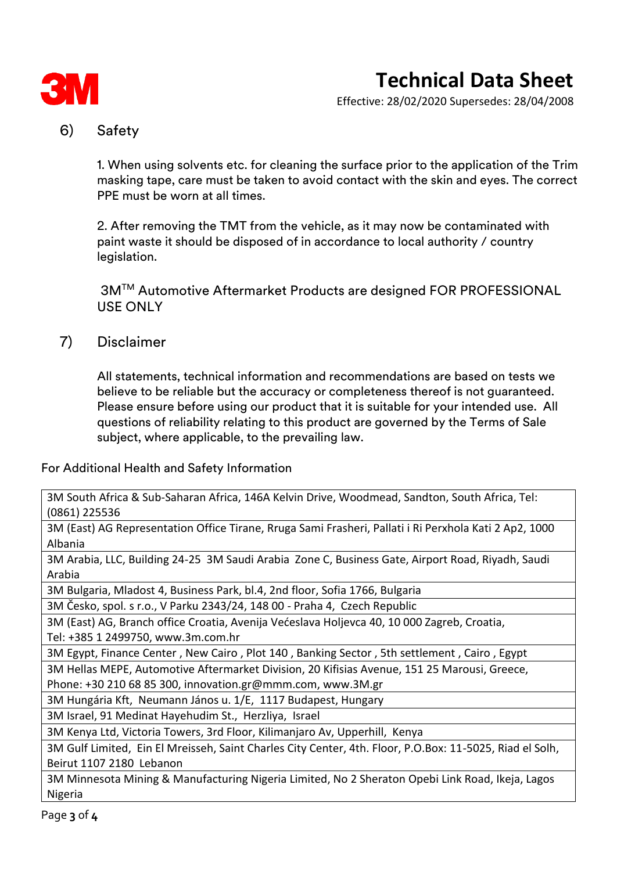

Effective: 28/02/2020 Supersedes: 28/04/2008

### 6) Safety

1. When using solvents etc. for cleaning the surface prior to the application of the Trim masking tape, care must be taken to avoid contact with the skin and eyes. The correct PPE must be worn at all times.

2. After removing the TMT from the vehicle, as it may now be contaminated with paint waste it should be disposed of in accordance to local authority / country legislation.

3M™ Automotive Aftermarket Products are designed FOR PROFESSIONAL USE ONLY

7) Disclaimer

All statements, technical information and recommendations are based on tests we believe to be reliable but the accuracy or completeness thereof is not guaranteed. Please ensure before using our product that it is suitable for your intended use. All questions of reliability relating to this product are governed by the Terms of Sale subject, where applicable, to the prevailing law.

For Additional Health and Safety Information

3M South Africa & Sub-Saharan Africa, 146A Kelvin Drive, Woodmead, Sandton, South Africa, Tel: (0861) 225536

3M (East) AG Representation Office Tirane, Rruga Sami Frasheri, Pallati i Ri Perxhola Kati 2 Ap2, 1000 Albania

3M Arabia, LLC, Building 24-25 3M Saudi Arabia Zone C, Business Gate, Airport Road, Riyadh, Saudi Arabia

3M Bulgaria, Mladost 4, Business Park, bl.4, 2nd floor, Sofia 1766, Bulgaria

3M Česko, spol. s r.o., V Parku 2343/24, 148 00 - Praha 4, Czech Republic

3M (East) AG, Branch office Croatia, Avenija Većeslava Holjevca 40, 10 000 Zagreb, Croatia,

Tel: +385 1 2499750, www.3m.com.hr

3M Egypt, Finance Center , New Cairo , Plot 140 , Banking Sector , 5th settlement , Cairo , Egypt

3M Hellas MEPE, Automotive Aftermarket Division, 20 Kifisias Avenue, 151 25 Marousi, Greece,

Phone: +30 210 68 85 300, innovation.gr@mmm.com, www.3M.gr

3M Hungária Kft, Neumann János u. 1/E, 1117 Budapest, Hungary

3M Israel, 91 Medinat Hayehudim St., Herzliya, Israel

3M Kenya Ltd, Victoria Towers, 3rd Floor, Kilimanjaro Av, Upperhill, Kenya

3M Gulf Limited, Ein El Mreisseh, Saint Charles City Center, 4th. Floor, P.O.Box: 11-5025, Riad el Solh, Beirut 1107 2180 Lebanon

3M Minnesota Mining & Manufacturing Nigeria Limited, No 2 Sheraton Opebi Link Road, Ikeja, Lagos Nigeria

Page **3** of **4**